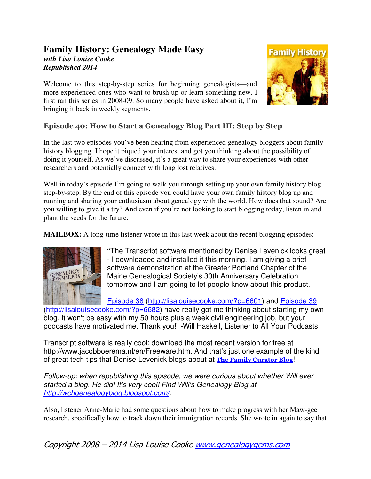## **Family History: Genealogy Made Easy**  *with Lisa Louise Cooke Republished 2014*

Welcome to this step-by-step series for beginning genealogists—and more experienced ones who want to brush up or learn something new. I first ran this series in 2008-09. So many people have asked about it, I'm bringing it back in weekly segments.



# Episode 40: How to Start a Genealogy Blog Part III: Step by Step

In the last two episodes you've been hearing from experienced genealogy bloggers about family history blogging. I hope it piqued your interest and got you thinking about the possibility of doing it yourself. As we've discussed, it's a great way to share your experiences with other researchers and potentially connect with long lost relatives.

Well in today's episode I'm going to walk you through setting up your own family history blog step-by-step. By the end of this episode you could have your own family history blog up and running and sharing your enthusiasm about genealogy with the world. How does that sound? Are you willing to give it a try? And even if you're not looking to start blogging today, listen in and plant the seeds for the future.

**MAILBOX:** A long-time listener wrote in this last week about the recent blogging episodes:



"The Transcript software mentioned by Denise Levenick looks great - I downloaded and installed it this morning. I am giving a brief software demonstration at the Greater Portland Chapter of the Maine Genealogical Society's 30th Anniversary Celebration tomorrow and I am going to let people know about this product.

Episode 38 (http://lisalouisecooke.com/?p=6601) and Episode 39

(http://lisalouisecooke.com/?p=6682) have really got me thinking about starting my own blog. It won't be easy with my 50 hours plus a week civil engineering job, but your podcasts have motivated me. Thank you!" -Will Haskell, Listener to All Your Podcasts

Transcript software is really cool: download the most recent version for free at http://www.jacobboerema.nl/en/Freeware.htm. And that's just one example of the kind of great tech tips that Denise Levenick blogs about at The Family Curator Blog!

Follow-up: when republishing this episode, we were curious about whether Will ever started a blog. He did! It's very cool! Find Will's Genealogy Blog at http://wchgenealogyblog.blogspot.com/.

Also, listener Anne-Marie had some questions about how to make progress with her Maw-gee research, specifically how to track down their immigration records. She wrote in again to say that

Copyright 2008 – 2014 Lisa Louise Cooke www.genealogygems.com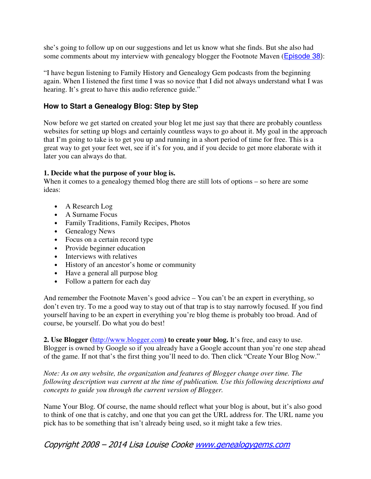she's going to follow up on our suggestions and let us know what she finds. But she also had some comments about my interview with genealogy blogger the Footnote Maven (**Episode 38**):

"I have begun listening to Family History and Genealogy Gem podcasts from the beginning again. When I listened the first time I was so novice that I did not always understand what I was hearing. It's great to have this audio reference guide."

### **How to Start a Genealogy Blog: Step by Step**

Now before we get started on created your blog let me just say that there are probably countless websites for setting up blogs and certainly countless ways to go about it. My goal in the approach that I'm going to take is to get you up and running in a short period of time for free. This is a great way to get your feet wet, see if it's for you, and if you decide to get more elaborate with it later you can always do that.

#### **1. Decide what the purpose of your blog is.**

When it comes to a genealogy themed blog there are still lots of options – so here are some ideas:

- A Research Log
- A Surname Focus
- Family Traditions, Family Recipes, Photos
- Genealogy News
- Focus on a certain record type
- Provide beginner education
- Interviews with relatives
- History of an ancestor's home or community
- Have a general all purpose blog
- Follow a pattern for each day

And remember the Footnote Maven's good advice – You can't be an expert in everything, so don't even try. To me a good way to stay out of that trap is to stay narrowly focused. If you find yourself having to be an expert in everything you're blog theme is probably too broad. And of course, be yourself. Do what you do best!

**2. Use Blogger (**http://www.blogger.com**) to create your blog.** It's free, and easy to use. Blogger is owned by Google so if you already have a Google account than you're one step ahead of the game. If not that's the first thing you'll need to do. Then click "Create Your Blog Now."

*Note: As on any website, the organization and features of Blogger change over time. The following description was current at the time of publication. Use this following descriptions and concepts to guide you through the current version of Blogger.* 

Name Your Blog. Of course, the name should reflect what your blog is about, but it's also good to think of one that is catchy, and one that you can get the URL address for. The URL name you pick has to be something that isn't already being used, so it might take a few tries.

Copyright 2008 – 2014 Lisa Louise Cooke www.genealogygems.com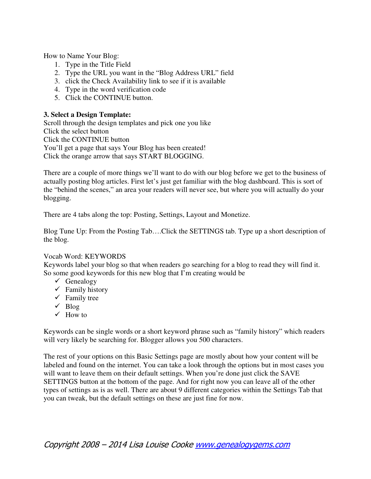How to Name Your Blog:

- 1. Type in the Title Field
- 2. Type the URL you want in the "Blog Address URL" field
- 3. click the Check Availability link to see if it is available
- 4. Type in the word verification code
- 5. Click the CONTINUE button.

#### **3. Select a Design Template:**

Scroll through the design templates and pick one you like Click the select button Click the CONTINUE button You'll get a page that says Your Blog has been created! Click the orange arrow that says START BLOGGING.

There are a couple of more things we'll want to do with our blog before we get to the business of actually posting blog articles. First let's just get familiar with the blog dashboard. This is sort of the "behind the scenes," an area your readers will never see, but where you will actually do your blogging.

There are 4 tabs along the top: Posting, Settings, Layout and Monetize.

Blog Tune Up: From the Posting Tab….Click the SETTINGS tab. Type up a short description of the blog.

#### Vocab Word: KEYWORDS

Keywords label your blog so that when readers go searching for a blog to read they will find it. So some good keywords for this new blog that I'm creating would be

- $\checkmark$  Genealogy
- $\checkmark$  Family history
- $\checkmark$  Family tree
- $\checkmark$  Blog
- $\checkmark$  How to

Keywords can be single words or a short keyword phrase such as "family history" which readers will very likely be searching for. Blogger allows you 500 characters.

The rest of your options on this Basic Settings page are mostly about how your content will be labeled and found on the internet. You can take a look through the options but in most cases you will want to leave them on their default settings. When you're done just click the SAVE SETTINGS button at the bottom of the page. And for right now you can leave all of the other types of settings as is as well. There are about 9 different categories within the Settings Tab that you can tweak, but the default settings on these are just fine for now.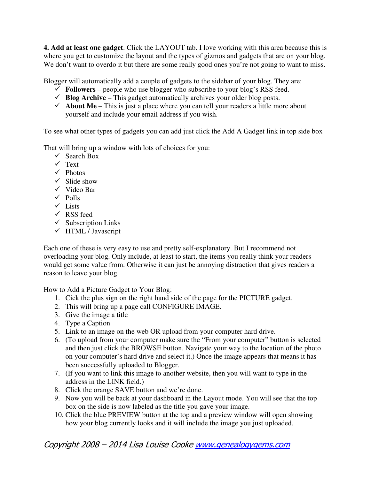**4. Add at least one gadget**. Click the LAYOUT tab. I love working with this area because this is where you get to customize the layout and the types of gizmos and gadgets that are on your blog. We don't want to overdo it but there are some really good ones you're not going to want to miss.

Blogger will automatically add a couple of gadgets to the sidebar of your blog. They are:

- $\checkmark$  Followers people who use blogger who subscribe to your blog's RSS feed.
- $\checkmark$  **Blog Archive** This gadget automatically archives your older blog posts.
- $\checkmark$  About Me This is just a place where you can tell your readers a little more about yourself and include your email address if you wish.

To see what other types of gadgets you can add just click the Add A Gadget link in top side box

That will bring up a window with lots of choices for you:

- $\checkmark$  Search Box
- $\sqrt{ }$  Text
- $\checkmark$  Photos
- $\checkmark$  Slide show
- Video Bar
- $\checkmark$  Polls
- $\checkmark$  Lists
- $\checkmark$  RSS feed
- $\checkmark$  Subscription Links
- $\checkmark$  HTML / Javascript

Each one of these is very easy to use and pretty self-explanatory. But I recommend not overloading your blog. Only include, at least to start, the items you really think your readers would get some value from. Otherwise it can just be annoying distraction that gives readers a reason to leave your blog.

How to Add a Picture Gadget to Your Blog:

- 1. Cick the plus sign on the right hand side of the page for the PICTURE gadget.
- 2. This will bring up a page call CONFIGURE IMAGE.
- 3. Give the image a title
- 4. Type a Caption
- 5. Link to an image on the web OR upload from your computer hard drive.
- 6. (To upload from your computer make sure the "From your computer" button is selected and then just click the BROWSE button. Navigate your way to the location of the photo on your computer's hard drive and select it.) Once the image appears that means it has been successfully uploaded to Blogger.
- 7. (If you want to link this image to another website, then you will want to type in the address in the LINK field.)
- 8. Click the orange SAVE button and we're done.
- 9. Now you will be back at your dashboard in the Layout mode. You will see that the top box on the side is now labeled as the title you gave your image.
- 10. Click the blue PREVIEW button at the top and a preview window will open showing how your blog currently looks and it will include the image you just uploaded.